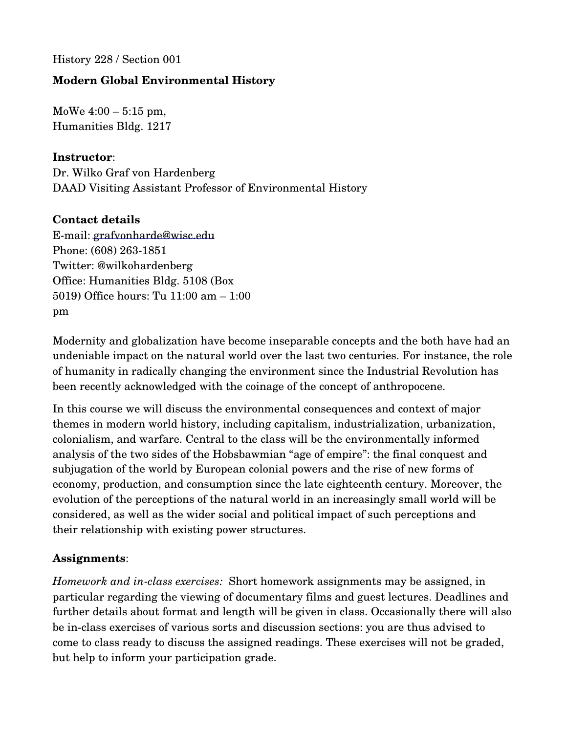History 228 / Section 001

# **Modern Global Environmental History**

MoWe 4:00 – 5:15 pm, Humanities Bldg. 1217

### **Instructor**:

Dr. Wilko Graf von Hardenberg DAAD Visiting Assistant Professor of Environmental History

### **Contact details**

Email: [grafvonharde@wisc.edu](mailto:grafvonharde@wisc.edu) Phone: (608) 263-1851 Twitter: @wilkohardenberg Office: Humanities Bldg. 5108 (Box 5019) Office hours: Tu 11:00 am – 1:00 pm

Modernity and globalization have become inseparable concepts and the both have had an undeniable impact on the natural world over the last two centuries. For instance, the role of humanity in radically changing the environment since the Industrial Revolution has been recently acknowledged with the coinage of the concept of anthropocene.

In this course we will discuss the environmental consequences and context of major themes in modern world history, including capitalism, industrialization, urbanization, colonialism, and warfare. Central to the class will be the environmentally informed analysis of the two sides of the Hobsbawmian "age of empire": the final conquest and subjugation of the world by European colonial powers and the rise of new forms of economy, production, and consumption since the late eighteenth century. Moreover, the evolution of the perceptions of the natural world in an increasingly small world will be considered, as well as the wider social and political impact of such perceptions and their relationship with existing power structures.

#### **Assignments**:

*Homework and inclass exercises:*  Short homework assignments may be assigned, in particular regarding the viewing of documentary films and guest lectures. Deadlines and further details about format and length will be given in class. Occasionally there will also be in-class exercises of various sorts and discussion sections: you are thus advised to come to class ready to discuss the assigned readings. These exercises will not be graded, but help to inform your participation grade.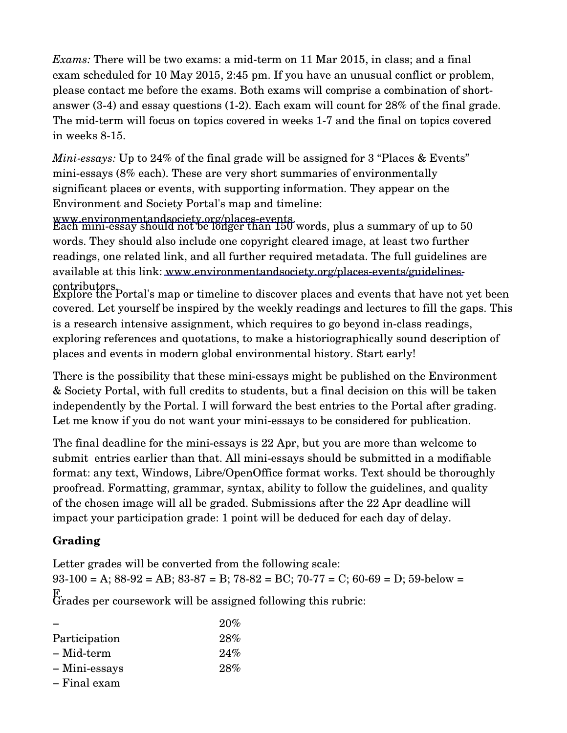*Exams:* There will be two exams: a mid-term on 11 Mar 2015, in class; and a final exam scheduled for 10 May 2015, 2:45 pm. If you have an unusual conflict or problem, please contact me before the exams. Both exams will comprise a combination of shortanswer  $(3-4)$  and essay questions  $(1-2)$ . Each exam will count for  $28\%$  of the final grade. The mid-term will focus on topics covered in weeks 1-7 and the final on topics covered in weeks 8-15.

*Mini-essays:* Up to 24% of the final grade will be assigned for 3 "Places & Events" miniessays (8% each). These are very short summaries of environmentally significant places or events, with supporting information. They appear on the Environment and Society Portal's [map and timeline:](http://www.environmentandsociety.org/places-eventsa) 

www.environmentandsociety.org/places-events.<br>Each mini-essay should not be longer than 150 words, plus a summary of up to 50 words. They should also include one copyright cleared image, at least two further readings, one related link, and all further required metadata. The full guidelines are available at this link: www.environmentandsociety.org/places-events/guidelines-

contributors.<br>Explore the Portal's map or timeline to discover places and events that have not yet been covered. Let yourself be inspired by the weekly readings and lectures to fill the gaps. This is a research intensive assignment, which requires to go beyond inclass readings, exploring references and quotations, to make a historiographically sound description of places and events in modern global environmental history. Start early!

There is the possibility that these mini-essays might be published on the Environment & Society Portal, with full credits to students, but a final decision on this will be taken independently by the Portal. I will forward the best entries to the Portal after grading. Let me know if you do not want your mini-essays to be considered for publication.

The final deadline for the mini-essays is 22 Apr, but you are more than welcome to submit entries earlier than that. All miniessays should be submitted in a modifiable format: any text, Windows, Libre/OpenOffice format works. Text should be thoroughly proofread. Formatting, grammar, syntax, ability to follow the guidelines, and quality of the chosen image will all be graded. Submissions after the 22 Apr deadline will impact your participation grade: 1 point will be deduced for each day of delay.

# **Grading**

Letter grades will be converted from the following scale:  $93-100 = A$ ;  $88-92 = AB$ ;  $83-87 = B$ ;  $78-82 = BC$ ;  $70-77 = C$ ;  $60-69 = D$ ;  $59-\text{below}$ F. Grades per coursework will be assigned following this rubric:

20% 28% 24% − Participation − Mid-term − Miniessays − Final exam 28%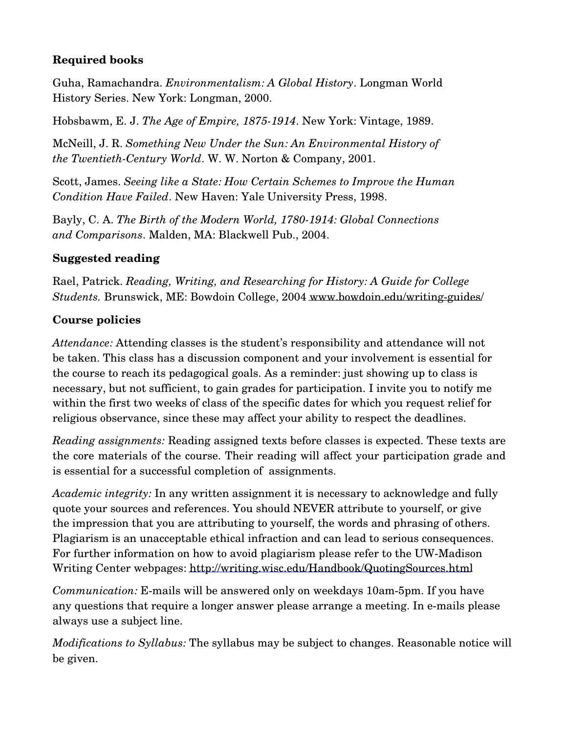# **Required books**

Guha, Ramachandra. *Environmentalism: A Global History*. Longman World History Series. New York: Longman, 2000.

Hobsbawm, E. J. *The Age of Empire, 1875-1914*. New York: Vintage, 1989.

McNeill, J. R. *Something New Under the Sun: An Environmental History of the Twentieth-Century World.* W. W. Norton & Company, 2001.

Scott, James. *Seeing like a State: How Certain Schemes to Improve the Human Condition Have Failed*. New Haven: Yale University Press, 1998.

Bayly, C. A. *The Birth of the Modern World, 1780-1914: Global Connections and Comparisons*. Malden, MA: Blackwell Pub., 2004.

# **Suggested reading**

Rael, Patrick. *Reading, Writing, and Researching for History: A Guide for College Students.* Brunswick, ME: Bowdoin College, 2004 www.bowdoin.edu/writing-guides/

# **Course policies**

*Attendance:* Attending classes is the student's responsibility and attendance will not be taken. This class has a discussion component and your involvement is essential for the course to reach its pedagogical goals. As a reminder: just showing up to class is necessary, but not sufficient, to gain grades for participation. I invite you to notify me within the first two weeks of class of the specific dates for which you request relief for religious observance, since these may affect your ability to respect the deadlines.

*Reading assignments:* Reading assigned texts before classes is expected. These texts are the core materials of the course. Their reading will affect your participation grade and is essential for a successful completion of assignments.

*Academic integrity:* In any written assignment it is necessary to acknowledge and fully quote your sources and references. You should NEVER attribute to yourself, or give the impression that you are attributing to yourself, the words and phrasing of others. Plagiarism is an unacceptable ethical infraction and can lead to serious consequences. For further information on how to avoid plagiarism please refer to the UW-Madison Writing Center webpages:<http://writing.wisc.edu/Handbook/QuotingSources.html>

*Communication:* E-mails will be answered only on weekdays 10am-5pm. If you have any questions that require a longer answer please arrange a meeting. In e-mails please always use a subject line.

*Modifications to Syllabus:* The syllabus may be subject to changes. Reasonable notice will be given.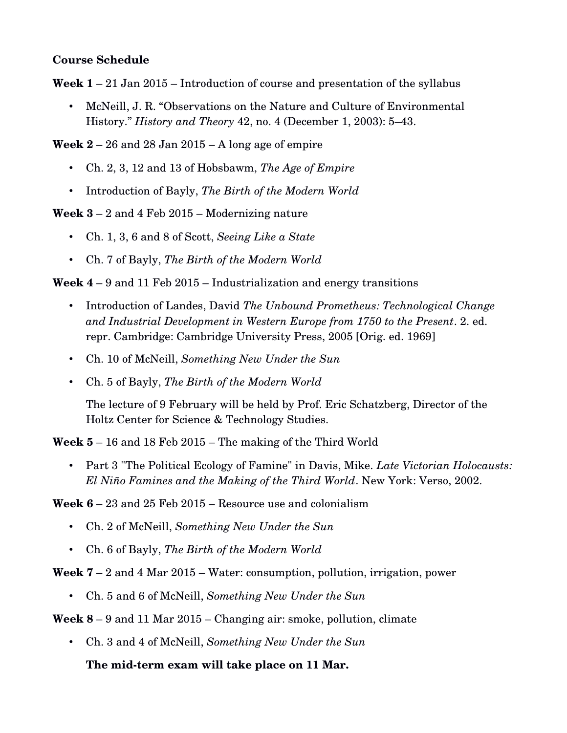#### **Course Schedule**

**Week 1** – 21 Jan 2015 – Introduction of course and presentation of the syllabus

• McNeill, J. R. "Observations on the Nature and Culture of Environmental History." *History and Theory* 42, no. 4 (December 1, 2003): 5–43.

**Week 2** – 26 and 28 Jan 2015 – A long age of empire

- Ch. 2, 3, 12 and 13 of Hobsbawm, *The Age of Empire*
- Introduction of Bayly, *The Birth of the Modern World*

**Week 3** – 2 and 4 Feb 2015 – Modernizing nature

- Ch. 1, 3, 6 and 8 of Scott, *Seeing Like a State*
- Ch. 7 of Bayly, *The Birth of the Modern World*

**Week 4** – 9 and 11 Feb 2015 – Industrialization and energy transitions

- Introduction of Landes, David *The Unbound Prometheus: Technological Change and Industrial Development in Western Europe from 1750 to the Present*. 2. ed. repr. Cambridge: Cambridge University Press, 2005 [Orig. ed. 1969]
- Ch. 10 of McNeill, *Something New Under the Sun*
- Ch. 5 of Bayly, *The Birth of the Modern World*

The lecture of 9 February will be held by Prof. Eric Schatzberg, Director of the Holtz Center for Science & Technology Studies.

**Week 5** – 16 and 18 Feb 2015 – The making of the Third World

• Part 3 "The Political Ecology of Famine" in Davis, Mike. *Late Victorian Holocausts: El Niño Famines and the Making of the Third World*. New York: Verso, 2002.

**Week 6** – 23 and 25 Feb 2015 – Resource use and colonialism

- Ch. 2 of McNeill, *Something New Under the Sun*
- Ch. 6 of Bayly, *The Birth of the Modern World*

#### **Week 7** – 2 and 4 Mar 2015 – Water: consumption, pollution, irrigation, power

• Ch. 5 and 6 of McNeill, *Something New Under the Sun*

#### **Week 8** – 9 and 11 Mar 2015 – Changing air: smoke, pollution, climate

• Ch. 3 and 4 of McNeill, *Something New Under the Sun*

#### The mid-term exam will take place on 11 Mar.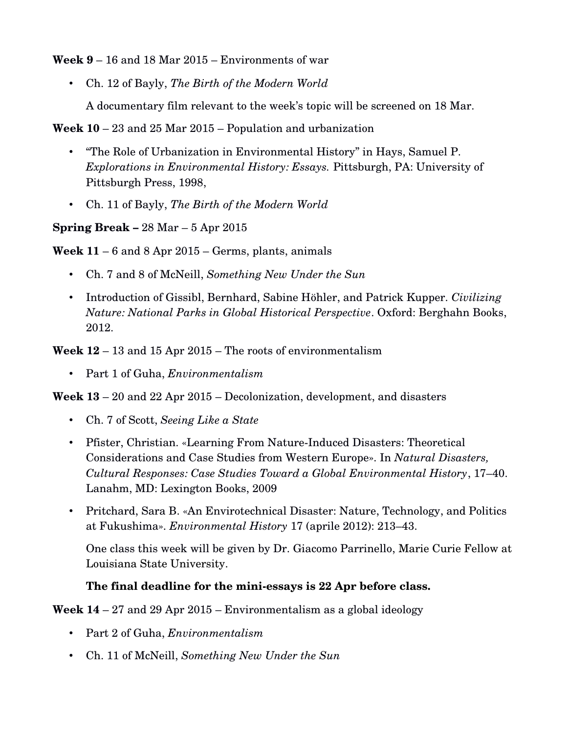**Week 9** – 16 and 18 Mar 2015 – Environments of war

• Ch. 12 of Bayly, *The Birth of the Modern World*

A documentary film relevant to the week's topic will be screened on 18 Mar.

**Week 10** – 23 and 25 Mar 2015 – Population and urbanization

- "The Role of Urbanization in Environmental History" in Hays, Samuel P. *Explorations in Environmental History: Essays.* Pittsburgh, PA: University of Pittsburgh Press, 1998,
- Ch. 11 of Bayly, *The Birth of the Modern World*
- **Spring Break –** 28 Mar 5 Apr 2015

**Week 11** – 6 and 8 Apr 2015 – Germs, plants, animals

- Ch. 7 and 8 of McNeill, *Something New Under the Sun*
- Introduction of Gissibl, Bernhard, Sabine Höhler, and Patrick Kupper. *Civilizing Nature: National Parks in Global Historical Perspective*. Oxford: Berghahn Books, 2012.

**Week 12** – 13 and 15 Apr 2015 – The roots of environmentalism

• Part 1 of Guha, *Environmentalism*

**Week 13** – 20 and 22 Apr 2015 – Decolonization, development, and disasters

- Ch. 7 of Scott, *Seeing Like a State*
- Pfister, Christian. «Learning From Nature-Induced Disasters: Theoretical Considerations and Case Studies from Western Europe». In *Natural Disasters, Cultural Responses: Case Studies Toward a Global Environmental History*, 17–40. Lanahm, MD: Lexington Books, 2009
- Pritchard, Sara B. «An Envirotechnical Disaster: Nature, Technology, and Politics at Fukushima». *Environmental History* 17 (aprile 2012): 213–43.

One class this week will be given by Dr. Giacomo Parrinello, Marie Curie Fellow at Louisiana State University.

# **The final deadline for the miniessays is 22 Apr before class.**

**Week 14** – 27 and 29 Apr 2015 – Environmentalism as a global ideology

- Part 2 of Guha, *Environmentalism*
- Ch. 11 of McNeill, *Something New Under the Sun*